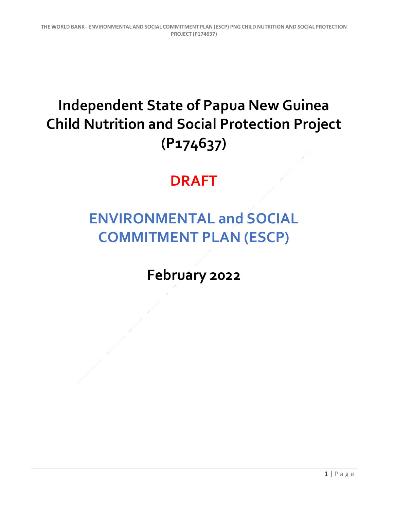## **Independent State of Papua New Guinea Child Nutrition and Social Protection Project (P174637)**

## **DRAFT**

## **ENVIRONMENTAL and SOCIAL COMMITMENT PLAN (ESCP)**

**February 2022**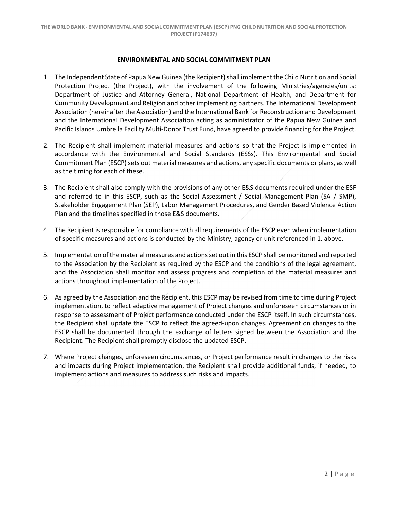## **ENVIRONMENTAL AND SOCIAL COMMITMENT PLAN**

- 1. The Independent State of Papua New Guinea (the Recipient) shall implement the Child Nutrition and Social Protection Project (the Project), with the involvement of the following Ministries/agencies/units: Department of Justice and Attorney General, National Department of Health, and Department for Community Development and Religion and other implementing partners. The International Development Association (hereinafter the Association) and the International Bank for Reconstruction and Development and the International Development Association acting as administrator of the Papua New Guinea and Pacific Islands Umbrella Facility Multi‐Donor Trust Fund, have agreed to provide financing for the Project.
- 2. The Recipient shall implement material measures and actions so that the Project is implemented in accordance with the Environmental and Social Standards (ESSs). This Environmental and Social Commitment Plan (ESCP) sets out material measures and actions, any specific documents or plans, as well as the timing for each of these.
- 3. The Recipient shall also comply with the provisions of any other E&S documents required under the ESF and referred to in this ESCP, such as the Social Assessment / Social Management Plan (SA / SMP), Stakeholder Engagement Plan (SEP), Labor Management Procedures, and Gender Based Violence Action Plan and the timelines specified in those E&S documents.
- 4. The Recipient is responsible for compliance with all requirements of the ESCP even when implementation of specific measures and actions is conducted by the Ministry, agency or unit referenced in 1. above.
- 5. Implementation of the material measures and actions set out in this ESCP shall be monitored and reported to the Association by the Recipient as required by the ESCP and the conditions of the legal agreement, and the Association shall monitor and assess progress and completion of the material measures and actions throughout implementation of the Project.
- 6. As agreed by the Association and the Recipient, this ESCP may be revised from time to time during Project implementation, to reflect adaptive management of Project changes and unforeseen circumstances or in response to assessment of Project performance conducted under the ESCP itself. In such circumstances, the Recipient shall update the ESCP to reflect the agreed‐upon changes. Agreement on changes to the ESCP shall be documented through the exchange of letters signed between the Association and the Recipient. The Recipient shall promptly disclose the updated ESCP.
- 7. Where Project changes, unforeseen circumstances, or Project performance result in changes to the risks and impacts during Project implementation, the Recipient shall provide additional funds, if needed, to implement actions and measures to address such risks and impacts.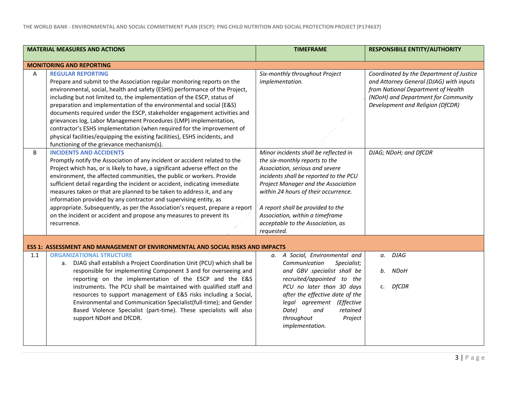| <b>MATERIAL MEASURES AND ACTIONS</b> |                                                                                                                                                                                                                                                                                                                                                                                                                                                                                                                                                                                                                                                                                               | <b>TIMEFRAME</b>                                                                                                                                                                                                                                                                                                                                               | <b>RESPONSIBILE ENTITY/AUTHORITY</b>                                                                                                                                                                 |  |
|--------------------------------------|-----------------------------------------------------------------------------------------------------------------------------------------------------------------------------------------------------------------------------------------------------------------------------------------------------------------------------------------------------------------------------------------------------------------------------------------------------------------------------------------------------------------------------------------------------------------------------------------------------------------------------------------------------------------------------------------------|----------------------------------------------------------------------------------------------------------------------------------------------------------------------------------------------------------------------------------------------------------------------------------------------------------------------------------------------------------------|------------------------------------------------------------------------------------------------------------------------------------------------------------------------------------------------------|--|
| <b>MONITORING AND REPORTING</b>      |                                                                                                                                                                                                                                                                                                                                                                                                                                                                                                                                                                                                                                                                                               |                                                                                                                                                                                                                                                                                                                                                                |                                                                                                                                                                                                      |  |
| A                                    | <b>REGULAR REPORTING</b><br>Prepare and submit to the Association regular monitoring reports on the<br>environmental, social, health and safety (ESHS) performance of the Project,<br>including but not limited to, the implementation of the ESCP, status of<br>preparation and implementation of the environmental and social (E&S)<br>documents required under the ESCP, stakeholder engagement activities and<br>grievances log, Labor Management Procedures (LMP) implementation,<br>contractor's ESHS implementation (when required for the improvement of<br>physical facilities/equipping the existing facilities), ESHS incidents, and<br>functioning of the grievance mechanism(s). | Six-monthly throughout Project<br>implementation.                                                                                                                                                                                                                                                                                                              | Coordinated by the Department of Justice<br>and Attorney General (DJAG) with inputs<br>from National Department of Health<br>(NDoH) and Department for Community<br>Development and Religion (DfCDR) |  |
| B                                    | <b>INCIDENTS AND ACCIDENTS</b><br>Promptly notify the Association of any incident or accident related to the<br>Project which has, or is likely to have, a significant adverse effect on the<br>environment, the affected communities, the public or workers. Provide<br>sufficient detail regarding the incident or accident, indicating immediate<br>measures taken or that are planned to be taken to address it, and any<br>information provided by any contractor and supervising entity, as<br>appropriate. Subsequently, as per the Association's request, prepare a report<br>on the incident or accident and propose any measures to prevent its<br>recurrence.                      | Minor incidents shall be reflected in<br>the six-monthly reports to the<br>Association, serious and severe<br>incidents shall be reported to the PCU<br>Project Manager and the Association<br>within 24 hours of their occurrence.<br>A report shall be provided to the<br>Association, within a timeframe<br>acceptable to the Association, as<br>requested. | DJAG; NDoH; and DfCDR                                                                                                                                                                                |  |
|                                      | <b>ESS 1: ASSESSMENT AND MANAGEMENT OF ENVIRONMENTAL AND SOCIAL RISKS AND IMPACTS</b>                                                                                                                                                                                                                                                                                                                                                                                                                                                                                                                                                                                                         |                                                                                                                                                                                                                                                                                                                                                                |                                                                                                                                                                                                      |  |
| 1.1                                  | <b>ORGANIZATIONAL STRUCTURE</b><br>a. DJAG shall establish a Project Coordination Unit (PCU) which shall be<br>responsible for implementing Component 3 and for overseeing and<br>reporting on the implementation of the ESCP and the E&S<br>instruments. The PCU shall be maintained with qualified staff and<br>resources to support management of E&S risks including a Social,<br>Environmental and Communication Specialist(full-time); and Gender<br>Based Violence Specialist (part-time). These specialists will also<br>support NDoH and DfCDR.                                                                                                                                      | a. A Social, Environmental and<br>Communication<br>Specialist;<br>and GBV specialist shall be<br>recruited/appointed to the<br>PCU no later than 30 days<br>after the effective date of the<br>legal agreement (Effective<br>Date)<br>and<br>retained<br>throughout<br>Project<br>implementation.                                                              | <b>DJAG</b><br>а.<br>NDoH<br>b.<br><b>DfCDR</b><br>c.                                                                                                                                                |  |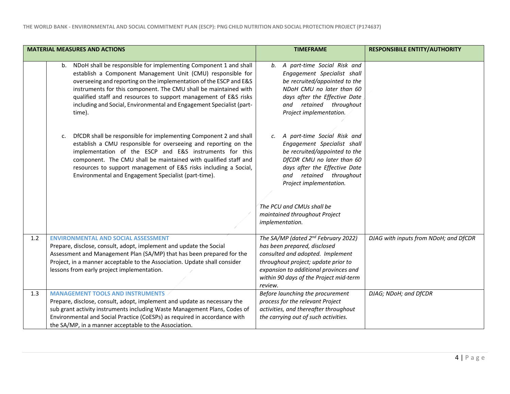|     | <b>MATERIAL MEASURES AND ACTIONS</b>                                                                                                                                                                                                                                                                                                                                                                                               | <b>TIMEFRAME</b>                                                                                                                                                                                                                                                                                        | <b>RESPONSIBILE ENTITY/AUTHORITY</b>  |
|-----|------------------------------------------------------------------------------------------------------------------------------------------------------------------------------------------------------------------------------------------------------------------------------------------------------------------------------------------------------------------------------------------------------------------------------------|---------------------------------------------------------------------------------------------------------------------------------------------------------------------------------------------------------------------------------------------------------------------------------------------------------|---------------------------------------|
|     | b. NDoH shall be responsible for implementing Component 1 and shall<br>establish a Component Management Unit (CMU) responsible for<br>overseeing and reporting on the implementation of the ESCP and E&S<br>instruments for this component. The CMU shall be maintained with<br>qualified staff and resources to support management of E&S risks<br>including and Social, Environmental and Engagement Specialist (part-<br>time). | b. A part-time Social Risk and<br>Engagement Specialist shall<br>be recruited/appointed to the<br>NDoH CMU no later than 60<br>days after the Effective Date<br>retained throughout<br>and<br>Project implementation.                                                                                   |                                       |
|     | DfCDR shall be responsible for implementing Component 2 and shall<br>c.<br>establish a CMU responsible for overseeing and reporting on the<br>implementation of the ESCP and E&S instruments for this<br>component. The CMU shall be maintained with qualified staff and<br>resources to support management of E&S risks including a Social,<br>Environmental and Engagement Specialist (part-time).                               | A part-time Social Risk and<br>c.<br>Engagement Specialist shall<br>be recruited/appointed to the<br>DfCDR CMU no later than 60<br>days after the Effective Date<br>and retained throughout<br>Project implementation.<br>The PCU and CMUs shall be<br>maintained throughout Project<br>implementation. |                                       |
| 1.2 | <b>ENVIRONMENTAL AND SOCIAL ASSESSMENT</b><br>Prepare, disclose, consult, adopt, implement and update the Social<br>Assessment and Management Plan (SA/MP) that has been prepared for the<br>Project, in a manner acceptable to the Association. Update shall consider<br>lessons from early project implementation.                                                                                                               | The SA/MP (dated 2 <sup>nd</sup> February 2022)<br>has been prepared, disclosed<br>consulted and adopted. Implement<br>throughout project; update prior to<br>expansion to additional provinces and<br>within 90 days of the Project mid-term<br>review.                                                | DJAG with inputs from NDoH; and DfCDR |
| 1.3 | <b>MANAGEMENT TOOLS AND INSTRUMENTS</b><br>Prepare, disclose, consult, adopt, implement and update as necessary the<br>sub grant activity instruments including Waste Management Plans, Codes of<br>Environmental and Social Practice (CoESPs) as required in accordance with<br>the SA/MP, in a manner acceptable to the Association.                                                                                             | Before launching the procurement<br>process for the relevant Project<br>activities, and thereafter throughout<br>the carrying out of such activities.                                                                                                                                                   | DJAG; NDoH; and DfCDR                 |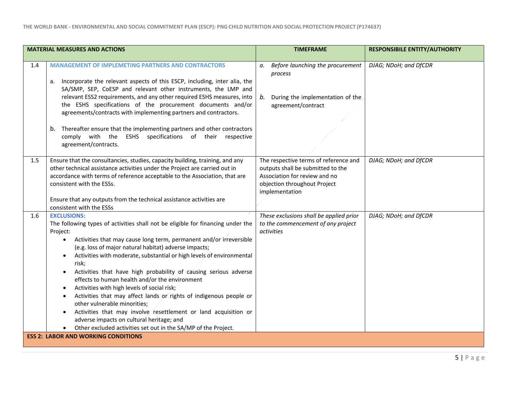|                                            | <b>MATERIAL MEASURES AND ACTIONS</b>                                                                                                                                                                                                                                                                                                                                                                                                                                                                                                                                                                                                                                                                                                                                                                                           | <b>TIMEFRAME</b>                                                                                                                                              | <b>RESPONSIBILE ENTITY/AUTHORITY</b> |
|--------------------------------------------|--------------------------------------------------------------------------------------------------------------------------------------------------------------------------------------------------------------------------------------------------------------------------------------------------------------------------------------------------------------------------------------------------------------------------------------------------------------------------------------------------------------------------------------------------------------------------------------------------------------------------------------------------------------------------------------------------------------------------------------------------------------------------------------------------------------------------------|---------------------------------------------------------------------------------------------------------------------------------------------------------------|--------------------------------------|
| 1.4                                        | <b>MANAGEMENT OF IMPLEMETING PARTNERS AND CONTRACTORS</b><br>a. Incorporate the relevant aspects of this ESCP, including, inter alia, the                                                                                                                                                                                                                                                                                                                                                                                                                                                                                                                                                                                                                                                                                      | Before launching the procurement<br>а.<br>process                                                                                                             | DJAG; NDoH; and DfCDR                |
|                                            | SA/SMP, SEP, CoESP and relevant other instruments, the LMP and<br>relevant ESS2 requirements, and any other required ESHS measures, into<br>the ESHS specifications of the procurement documents and/or<br>agreements/contracts with implementing partners and contractors.                                                                                                                                                                                                                                                                                                                                                                                                                                                                                                                                                    | During the implementation of the<br>b.<br>agreement/contract                                                                                                  |                                      |
|                                            | b. Thereafter ensure that the implementing partners and other contractors<br>comply with the ESHS specifications of their respective<br>agreement/contracts.                                                                                                                                                                                                                                                                                                                                                                                                                                                                                                                                                                                                                                                                   |                                                                                                                                                               |                                      |
| 1.5                                        | Ensure that the consultancies, studies, capacity building, training, and any<br>other technical assistance activities under the Project are carried out in<br>accordance with terms of reference acceptable to the Association, that are<br>consistent with the ESSs.                                                                                                                                                                                                                                                                                                                                                                                                                                                                                                                                                          | The respective terms of reference and<br>outputs shall be submitted to the<br>Association for review and no<br>objection throughout Project<br>implementation | DJAG; NDoH; and DfCDR                |
|                                            | Ensure that any outputs from the technical assistance activities are<br>consistent with the ESSs                                                                                                                                                                                                                                                                                                                                                                                                                                                                                                                                                                                                                                                                                                                               |                                                                                                                                                               |                                      |
| 1.6                                        | <b>EXCLUSIONS:</b><br>The following types of activities shall not be eligible for financing under the<br>Project:<br>Activities that may cause long term, permanent and/or irreversible<br>(e.g. loss of major natural habitat) adverse impacts;<br>Activities with moderate, substantial or high levels of environmental<br>$\bullet$<br>risk;<br>Activities that have high probability of causing serious adverse<br>effects to human health and/or the environment<br>Activities with high levels of social risk;<br>٠<br>Activities that may affect lands or rights of indigenous people or<br>other vulnerable minorities;<br>Activities that may involve resettlement or land acquisition or<br>$\bullet$<br>adverse impacts on cultural heritage; and<br>Other excluded activities set out in the SA/MP of the Project. | These exclusions shall be applied prior<br>to the commencement of any project<br>activities                                                                   | DJAG; NDoH; and DfCDR                |
| <b>ESS 2: LABOR AND WORKING CONDITIONS</b> |                                                                                                                                                                                                                                                                                                                                                                                                                                                                                                                                                                                                                                                                                                                                                                                                                                |                                                                                                                                                               |                                      |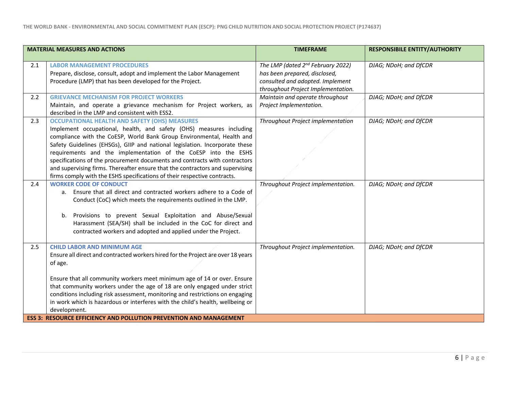| The LMP (dated 2 <sup>nd</sup> February 2022)<br>has been prepared, disclosed,<br>consulted and adopted. Implement<br>throughout Project Implementation.<br>Maintain and operate throughout<br>Project Implementation. | DJAG; NDoH; and DfCDR |
|------------------------------------------------------------------------------------------------------------------------------------------------------------------------------------------------------------------------|-----------------------|
|                                                                                                                                                                                                                        |                       |
|                                                                                                                                                                                                                        | DJAG; NDoH; and DfCDR |
| Throughout Project implementation                                                                                                                                                                                      | DJAG; NDoH; and DfCDR |
| Throughout Project implementation.                                                                                                                                                                                     | DJAG; NDoH; and DfCDR |
| Throughout Project implementation.                                                                                                                                                                                     | DJAG; NDoH; and DfCDR |
|                                                                                                                                                                                                                        |                       |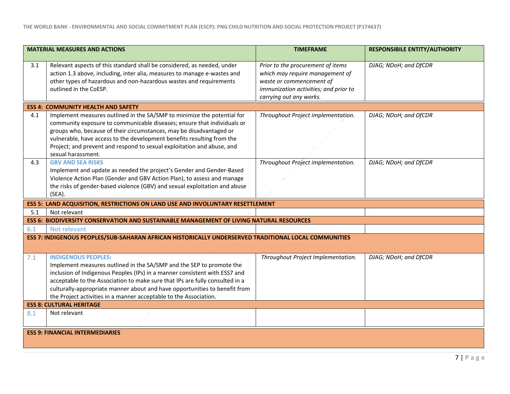| <b>MATERIAL MEASURES AND ACTIONS</b>   |                                                                                                      | <b>TIMEFRAME</b>                      | <b>RESPONSIBILE ENTITY/AUTHORITY</b> |  |
|----------------------------------------|------------------------------------------------------------------------------------------------------|---------------------------------------|--------------------------------------|--|
|                                        |                                                                                                      |                                       |                                      |  |
| 3.1                                    | Relevant aspects of this standard shall be considered, as needed, under                              | Prior to the procurement of items     | DJAG; NDoH; and DfCDR                |  |
|                                        | action 1.3 above, including, inter alia, measures to manage e-wastes and                             | which may require management of       |                                      |  |
|                                        | other types of hazardous and non-hazardous wastes and requirements                                   | waste or commencement of              |                                      |  |
|                                        | outlined in the CoESP.                                                                               | immunization activities; and prior to |                                      |  |
|                                        |                                                                                                      | carrying out any works.               |                                      |  |
|                                        | <b>ESS 4: COMMUNITY HEALTH AND SAFETY</b>                                                            |                                       |                                      |  |
| 4.1                                    | Implement measures outlined in the SA/SMP to minimize the potential for                              | Throughout Project implementation.    | DJAG; NDoH; and DfCDR                |  |
|                                        | community exposure to communicable diseases; ensure that individuals or                              |                                       |                                      |  |
|                                        | groups who, because of their circumstances, may be disadvantaged or                                  |                                       |                                      |  |
|                                        | vulnerable, have access to the development benefits resulting from the                               |                                       |                                      |  |
|                                        | Project; and prevent and respond to sexual exploitation and abuse, and                               |                                       |                                      |  |
|                                        | sexual harassment.                                                                                   |                                       |                                      |  |
| 4.3                                    | <b>GBV AND SEA RISKS</b>                                                                             | Throughout Project implementation.    | DJAG; NDoH; and DfCDR                |  |
|                                        | Implement and update as needed the project's Gender and Gender-Based                                 |                                       |                                      |  |
|                                        | Violence Action Plan (Gender and GBV Action Plan), to assess and manage                              |                                       |                                      |  |
|                                        | the risks of gender-based violence (GBV) and sexual exploitation and abuse                           |                                       |                                      |  |
|                                        | (SEA).                                                                                               |                                       |                                      |  |
|                                        | ESS 5: LAND ACQUISITION, RESTRICTIONS ON LAND USE AND INVOLUNTARY RESETTLEMENT                       |                                       |                                      |  |
| 5.1                                    | Not relevant                                                                                         |                                       |                                      |  |
|                                        | ESS 6: BIODIVERSITY CONSERVATION AND SUSTAINABLE MANAGEMENT OF LIVING NATURAL RESOURCES              |                                       |                                      |  |
| 6.1                                    | Not relevant                                                                                         |                                       |                                      |  |
|                                        | ESS 7: INDIGENOUS PEOPLES/SUB-SAHARAN AFRICAN HISTORICALLY UNDERSERVED TRADITIONAL LOCAL COMMUNITIES |                                       |                                      |  |
|                                        |                                                                                                      |                                       |                                      |  |
| 7.1                                    | <b>INDIGENOUS PEOPLES:</b>                                                                           | Throughout Project Implementation.    | DJAG; NDoH; and DfCDR                |  |
|                                        | Implement measures outlined in the SA/SMP and the SEP to promote the                                 |                                       |                                      |  |
|                                        | inclusion of Indigenous Peoples (IPs) in a manner consistent with ESS7 and                           |                                       |                                      |  |
|                                        | acceptable to the Association to make sure that IPs are fully consulted in a                         |                                       |                                      |  |
|                                        | culturally-appropriate manner about and have opportunities to benefit from                           |                                       |                                      |  |
|                                        | the Project activities in a manner acceptable to the Association.                                    |                                       |                                      |  |
| <b>ESS 8: CULTURAL HERITAGE</b>        |                                                                                                      |                                       |                                      |  |
| 8.1                                    | Not relevant                                                                                         |                                       |                                      |  |
|                                        |                                                                                                      |                                       |                                      |  |
|                                        |                                                                                                      |                                       |                                      |  |
| <b>ESS 9: FINANCIAL INTERMEDIARIES</b> |                                                                                                      |                                       |                                      |  |
|                                        |                                                                                                      |                                       |                                      |  |